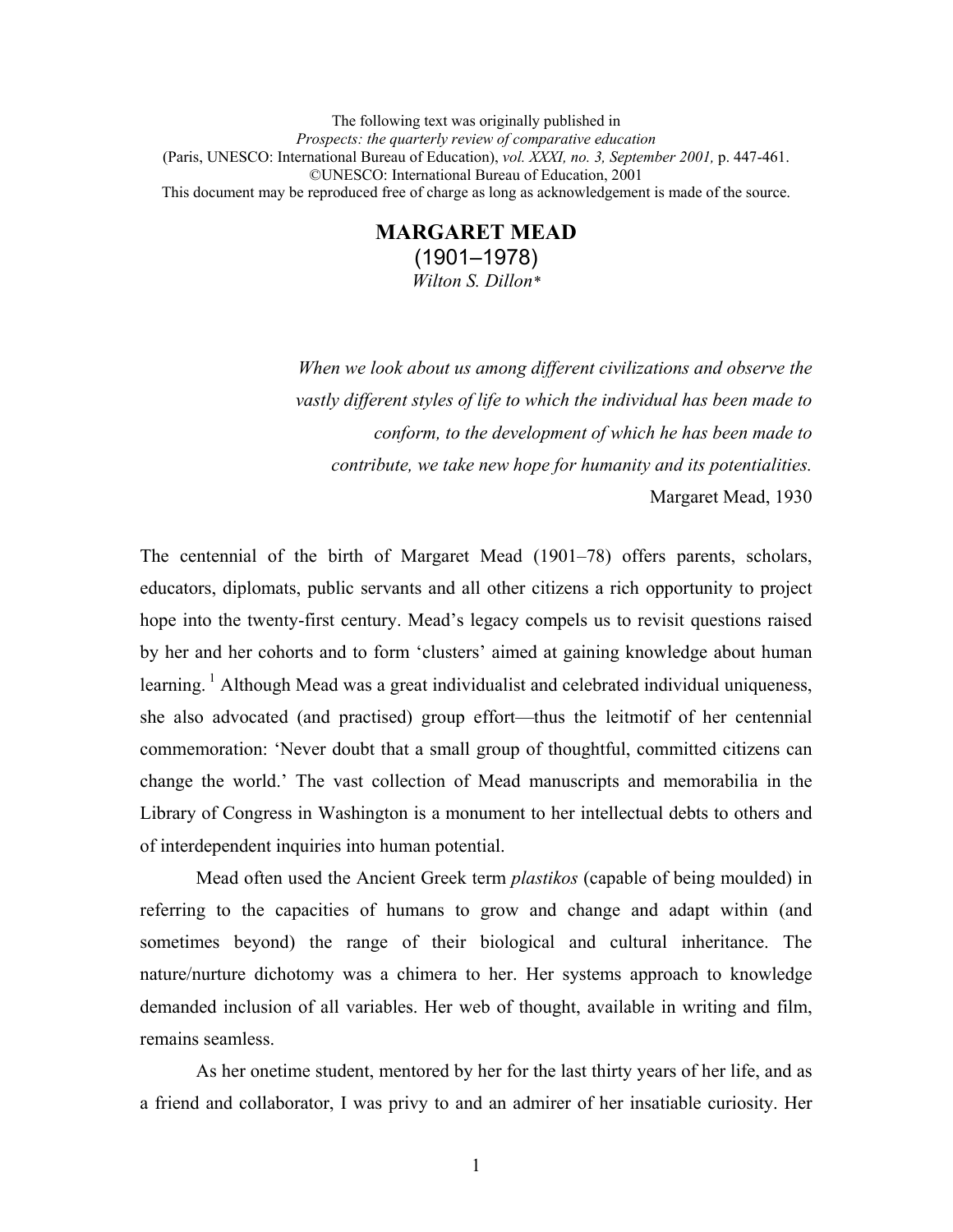The following text was originally published in *Prospects: the quarterly review of comparative education*  (Paris, UNESCO: International Bureau of Education), *vol. XXXI, no. 3, September 2001,* p. 447-461. ©UNESCO: International Bureau of Education, 2001 This document may be reproduced free of charge as long as acknowledgement is made of the source.

# **MARGARET MEAD**  (1901–1978) *Wilton S. Dillon\**

*When we look about us among different civilizations and observe the vastly different styles of life to which the individual has been made to conform, to the development of which he has been made to contribute, we take new hope for humanity and its potentialities.*  Margaret Mead, 1930

The centennial of the birth of Margaret Mead (1901–78) offers parents, scholars, educators, diplomats, public servants and all other citizens a rich opportunity to project hope into the twenty-first century. Mead's legacy compels us to revisit questions raised by her and her cohorts and to form 'clusters' aimed at gaining knowledge about human learning. <sup>1</sup> Although Mead was a great individualist and celebrated individual uniqueness, she also advocated (and practised) group effort—thus the leitmotif of her centennial commemoration: 'Never doubt that a small group of thoughtful, committed citizens can change the world.' The vast collection of Mead manuscripts and memorabilia in the Library of Congress in Washington is a monument to her intellectual debts to others and of interdependent inquiries into human potential.

Mead often used the Ancient Greek term *plastikos* (capable of being moulded) in referring to the capacities of humans to grow and change and adapt within (and sometimes beyond) the range of their biological and cultural inheritance. The nature/nurture dichotomy was a chimera to her. Her systems approach to knowledge demanded inclusion of all variables. Her web of thought, available in writing and film, remains seamless.

As her onetime student, mentored by her for the last thirty years of her life, and as a friend and collaborator, I was privy to and an admirer of her insatiable curiosity. Her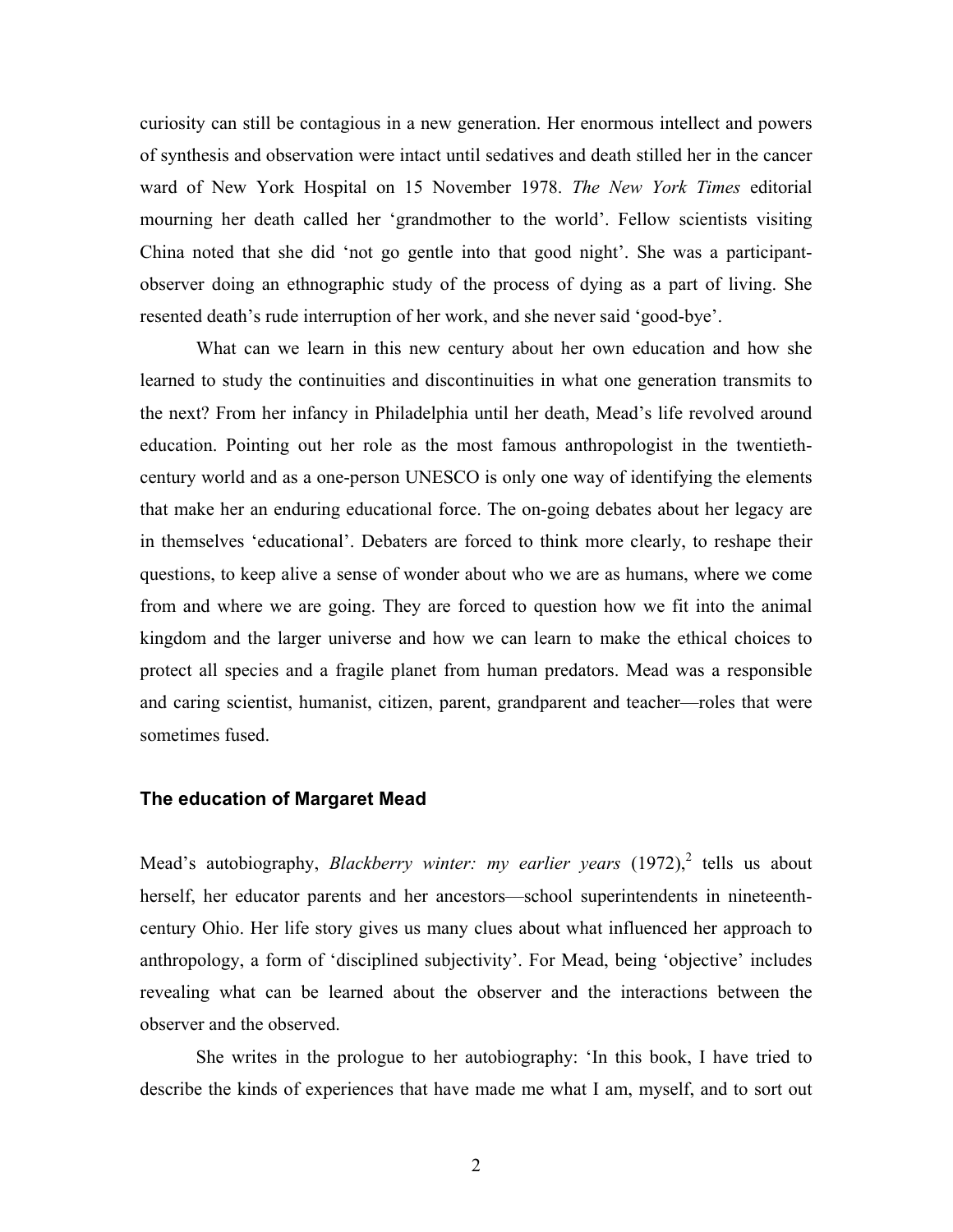curiosity can still be contagious in a new generation. Her enormous intellect and powers of synthesis and observation were intact until sedatives and death stilled her in the cancer ward of New York Hospital on 15 November 1978. *The New York Times* editorial mourning her death called her 'grandmother to the world'. Fellow scientists visiting China noted that she did 'not go gentle into that good night'. She was a participantobserver doing an ethnographic study of the process of dying as a part of living. She resented death's rude interruption of her work, and she never said 'good-bye'.

What can we learn in this new century about her own education and how she learned to study the continuities and discontinuities in what one generation transmits to the next? From her infancy in Philadelphia until her death, Mead's life revolved around education. Pointing out her role as the most famous anthropologist in the twentiethcentury world and as a one-person UNESCO is only one way of identifying the elements that make her an enduring educational force. The on-going debates about her legacy are in themselves 'educational'. Debaters are forced to think more clearly, to reshape their questions, to keep alive a sense of wonder about who we are as humans, where we come from and where we are going. They are forced to question how we fit into the animal kingdom and the larger universe and how we can learn to make the ethical choices to protect all species and a fragile planet from human predators. Mead was a responsible and caring scientist, humanist, citizen, parent, grandparent and teacher—roles that were sometimes fused.

## **The education of Margaret Mead**

Mead's autobiography, *Blackberry winter: my earlier years* (1972),<sup>2</sup> tells us about herself, her educator parents and her ancestors—school superintendents in nineteenthcentury Ohio. Her life story gives us many clues about what influenced her approach to anthropology, a form of 'disciplined subjectivity'. For Mead, being 'objective' includes revealing what can be learned about the observer and the interactions between the observer and the observed.

She writes in the prologue to her autobiography: 'In this book, I have tried to describe the kinds of experiences that have made me what I am, myself, and to sort out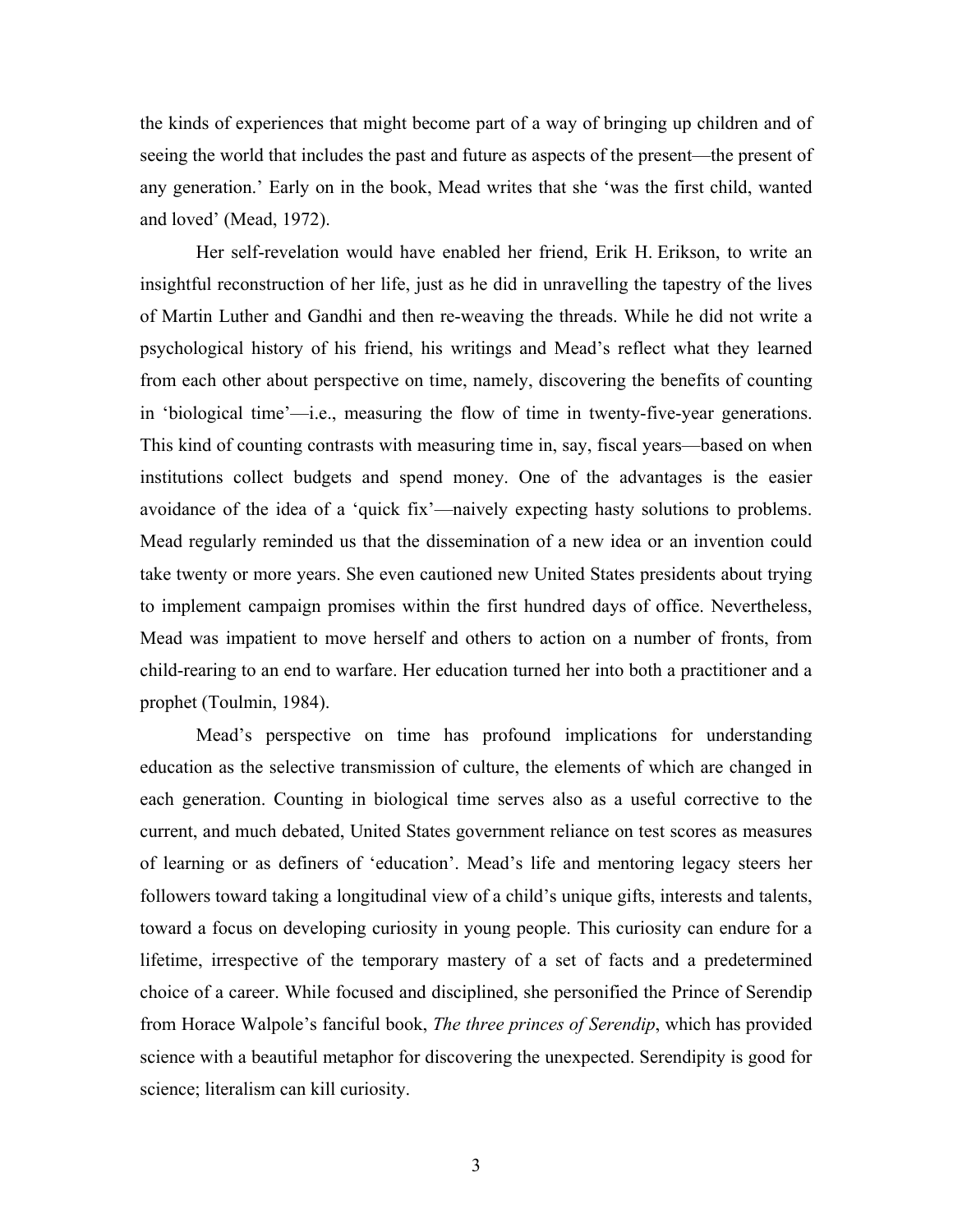the kinds of experiences that might become part of a way of bringing up children and of seeing the world that includes the past and future as aspects of the present—the present of any generation.' Early on in the book, Mead writes that she 'was the first child, wanted and loved' (Mead, 1972).

Her self-revelation would have enabled her friend, Erik H. Erikson, to write an insightful reconstruction of her life, just as he did in unravelling the tapestry of the lives of Martin Luther and Gandhi and then re-weaving the threads. While he did not write a psychological history of his friend, his writings and Mead's reflect what they learned from each other about perspective on time, namely, discovering the benefits of counting in 'biological time'—i.e., measuring the flow of time in twenty-five-year generations. This kind of counting contrasts with measuring time in, say, fiscal years—based on when institutions collect budgets and spend money. One of the advantages is the easier avoidance of the idea of a 'quick fix'—naively expecting hasty solutions to problems. Mead regularly reminded us that the dissemination of a new idea or an invention could take twenty or more years. She even cautioned new United States presidents about trying to implement campaign promises within the first hundred days of office. Nevertheless, Mead was impatient to move herself and others to action on a number of fronts, from child-rearing to an end to warfare. Her education turned her into both a practitioner and a prophet (Toulmin, 1984).

Mead's perspective on time has profound implications for understanding education as the selective transmission of culture, the elements of which are changed in each generation. Counting in biological time serves also as a useful corrective to the current, and much debated, United States government reliance on test scores as measures of learning or as definers of 'education'. Mead's life and mentoring legacy steers her followers toward taking a longitudinal view of a child's unique gifts, interests and talents, toward a focus on developing curiosity in young people. This curiosity can endure for a lifetime, irrespective of the temporary mastery of a set of facts and a predetermined choice of a career. While focused and disciplined, she personified the Prince of Serendip from Horace Walpole's fanciful book, *The three princes of Serendip*, which has provided science with a beautiful metaphor for discovering the unexpected. Serendipity is good for science; literalism can kill curiosity.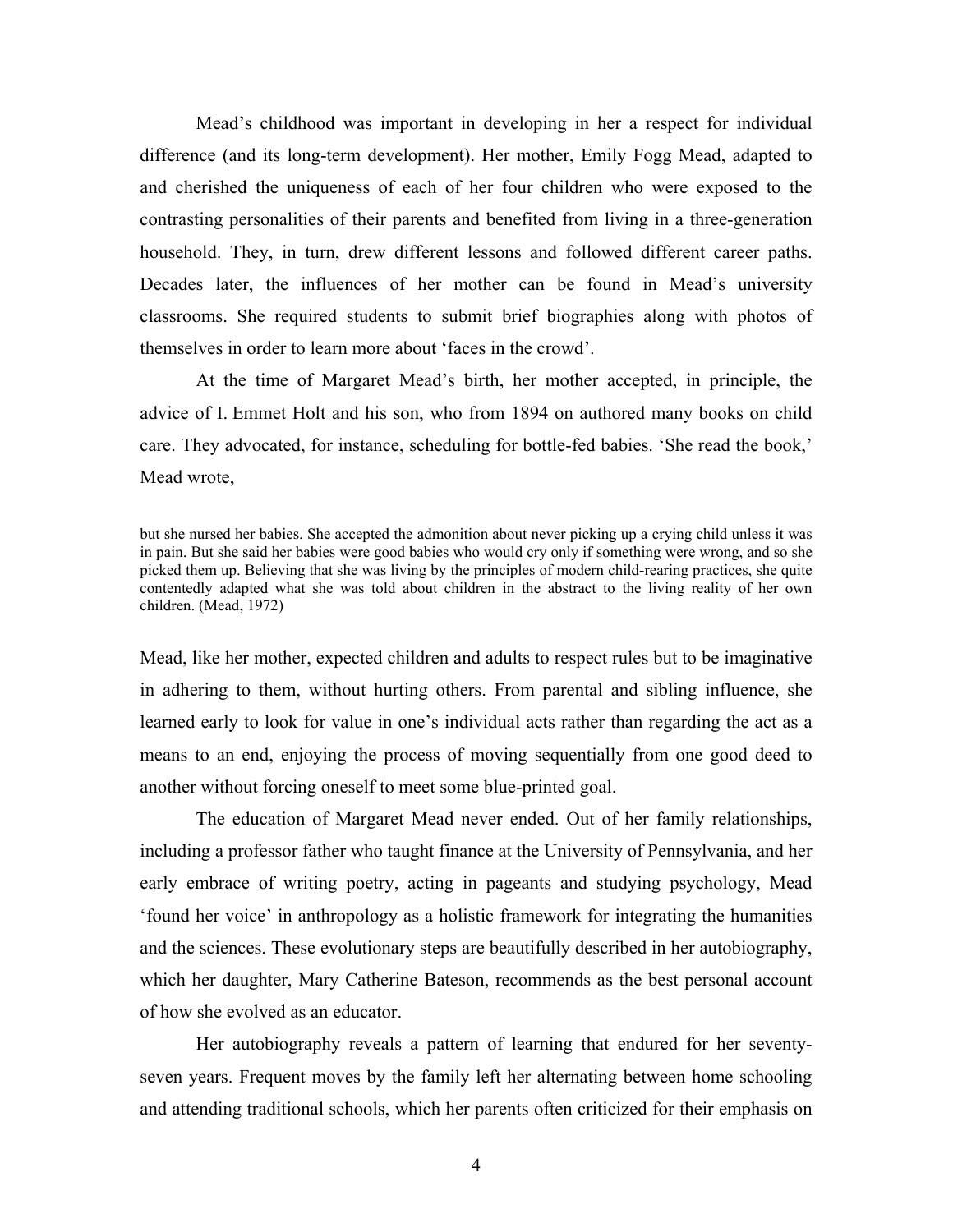Mead's childhood was important in developing in her a respect for individual difference (and its long-term development). Her mother, Emily Fogg Mead, adapted to and cherished the uniqueness of each of her four children who were exposed to the contrasting personalities of their parents and benefited from living in a three-generation household. They, in turn, drew different lessons and followed different career paths. Decades later, the influences of her mother can be found in Mead's university classrooms. She required students to submit brief biographies along with photos of themselves in order to learn more about 'faces in the crowd'.

At the time of Margaret Mead's birth, her mother accepted, in principle, the advice of I. Emmet Holt and his son, who from 1894 on authored many books on child care. They advocated, for instance, scheduling for bottle-fed babies. 'She read the book,' Mead wrote,

but she nursed her babies. She accepted the admonition about never picking up a crying child unless it was in pain. But she said her babies were good babies who would cry only if something were wrong, and so she picked them up. Believing that she was living by the principles of modern child-rearing practices, she quite contentedly adapted what she was told about children in the abstract to the living reality of her own children. (Mead, 1972)

Mead, like her mother, expected children and adults to respect rules but to be imaginative in adhering to them, without hurting others. From parental and sibling influence, she learned early to look for value in one's individual acts rather than regarding the act as a means to an end, enjoying the process of moving sequentially from one good deed to another without forcing oneself to meet some blue-printed goal.

The education of Margaret Mead never ended. Out of her family relationships, including a professor father who taught finance at the University of Pennsylvania, and her early embrace of writing poetry, acting in pageants and studying psychology, Mead 'found her voice' in anthropology as a holistic framework for integrating the humanities and the sciences. These evolutionary steps are beautifully described in her autobiography, which her daughter, Mary Catherine Bateson, recommends as the best personal account of how she evolved as an educator.

Her autobiography reveals a pattern of learning that endured for her seventyseven years. Frequent moves by the family left her alternating between home schooling and attending traditional schools, which her parents often criticized for their emphasis on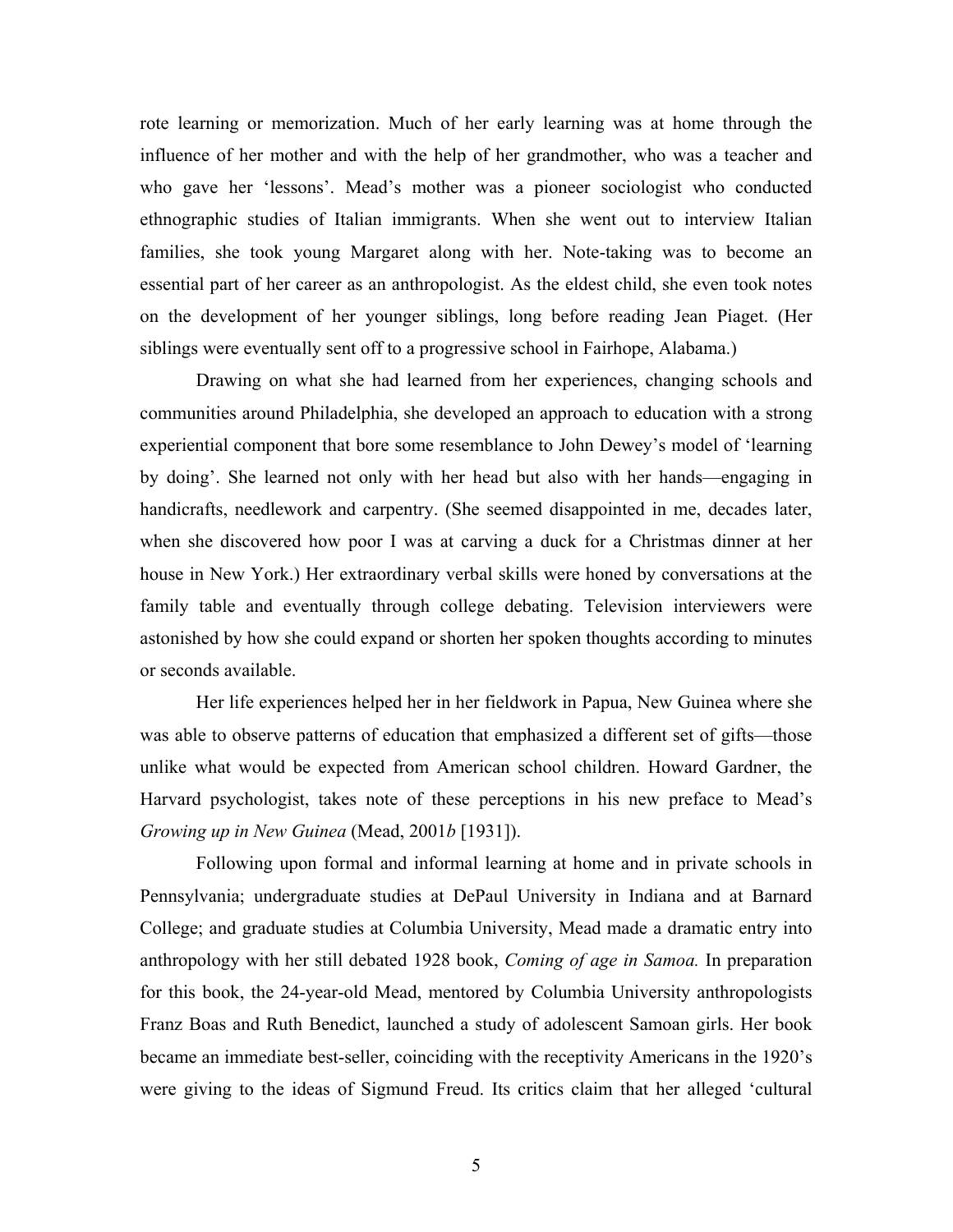rote learning or memorization. Much of her early learning was at home through the influence of her mother and with the help of her grandmother, who was a teacher and who gave her 'lessons'. Mead's mother was a pioneer sociologist who conducted ethnographic studies of Italian immigrants. When she went out to interview Italian families, she took young Margaret along with her. Note-taking was to become an essential part of her career as an anthropologist. As the eldest child, she even took notes on the development of her younger siblings, long before reading Jean Piaget. (Her siblings were eventually sent off to a progressive school in Fairhope, Alabama.)

Drawing on what she had learned from her experiences, changing schools and communities around Philadelphia, she developed an approach to education with a strong experiential component that bore some resemblance to John Dewey's model of 'learning by doing'. She learned not only with her head but also with her hands—engaging in handicrafts, needlework and carpentry. (She seemed disappointed in me, decades later, when she discovered how poor I was at carving a duck for a Christmas dinner at her house in New York.) Her extraordinary verbal skills were honed by conversations at the family table and eventually through college debating. Television interviewers were astonished by how she could expand or shorten her spoken thoughts according to minutes or seconds available.

 Her life experiences helped her in her fieldwork in Papua, New Guinea where she was able to observe patterns of education that emphasized a different set of gifts—those unlike what would be expected from American school children. Howard Gardner, the Harvard psychologist, takes note of these perceptions in his new preface to Mead's *Growing up in New Guinea* (Mead, 2001*b* [1931]).

Following upon formal and informal learning at home and in private schools in Pennsylvania; undergraduate studies at DePaul University in Indiana and at Barnard College; and graduate studies at Columbia University, Mead made a dramatic entry into anthropology with her still debated 1928 book, *Coming of age in Samoa.* In preparation for this book, the 24-year-old Mead, mentored by Columbia University anthropologists Franz Boas and Ruth Benedict, launched a study of adolescent Samoan girls. Her book became an immediate best-seller, coinciding with the receptivity Americans in the 1920's were giving to the ideas of Sigmund Freud. Its critics claim that her alleged 'cultural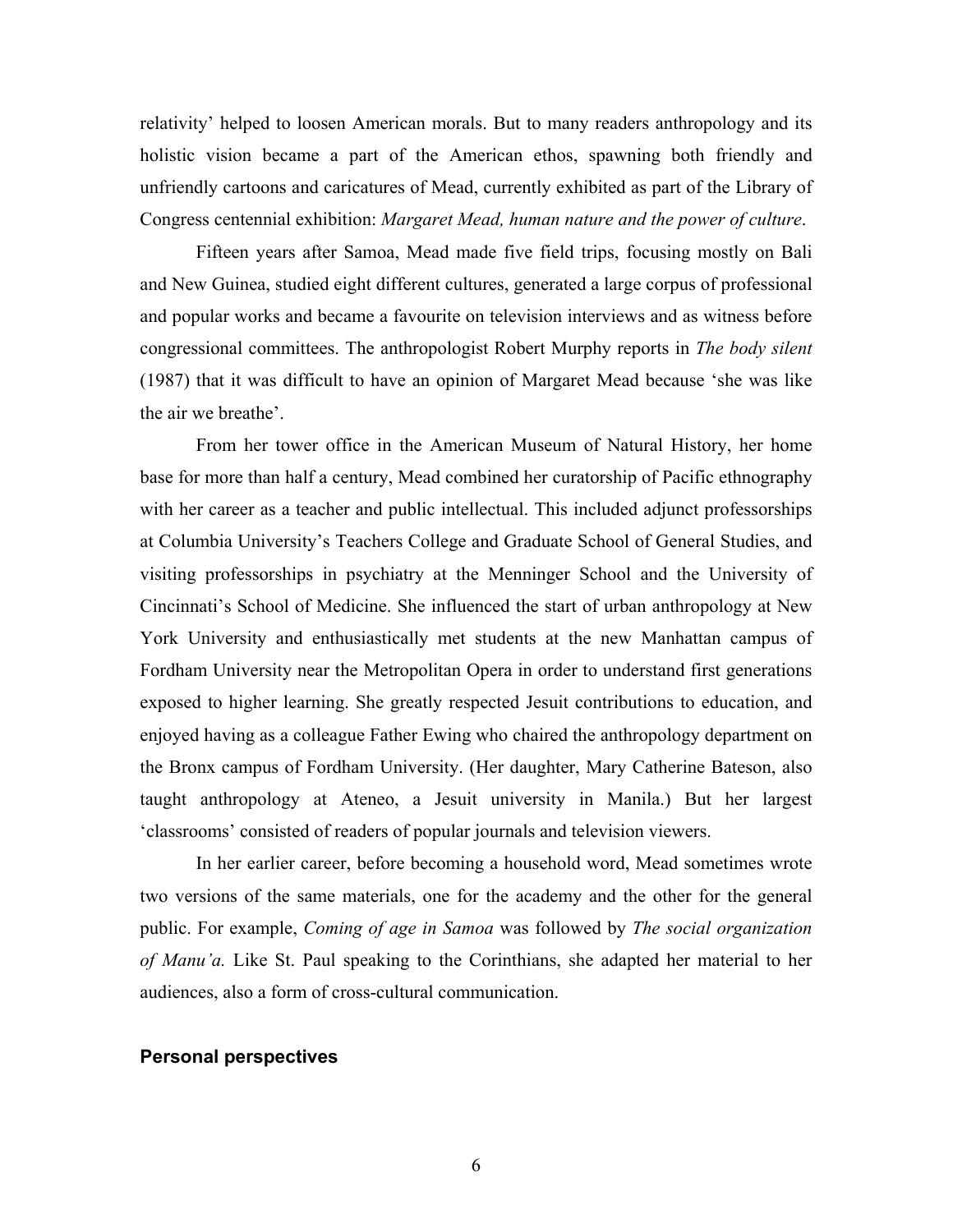relativity' helped to loosen American morals. But to many readers anthropology and its holistic vision became a part of the American ethos, spawning both friendly and unfriendly cartoons and caricatures of Mead, currently exhibited as part of the Library of Congress centennial exhibition: *Margaret Mead, human nature and the power of culture*.

Fifteen years after Samoa, Mead made five field trips, focusing mostly on Bali and New Guinea, studied eight different cultures, generated a large corpus of professional and popular works and became a favourite on television interviews and as witness before congressional committees. The anthropologist Robert Murphy reports in *The body silent* (1987) that it was difficult to have an opinion of Margaret Mead because 'she was like the air we breathe'.

From her tower office in the American Museum of Natural History, her home base for more than half a century, Mead combined her curatorship of Pacific ethnography with her career as a teacher and public intellectual. This included adjunct professorships at Columbia University's Teachers College and Graduate School of General Studies, and visiting professorships in psychiatry at the Menninger School and the University of Cincinnati's School of Medicine. She influenced the start of urban anthropology at New York University and enthusiastically met students at the new Manhattan campus of Fordham University near the Metropolitan Opera in order to understand first generations exposed to higher learning. She greatly respected Jesuit contributions to education, and enjoyed having as a colleague Father Ewing who chaired the anthropology department on the Bronx campus of Fordham University. (Her daughter, Mary Catherine Bateson, also taught anthropology at Ateneo, a Jesuit university in Manila.) But her largest 'classrooms' consisted of readers of popular journals and television viewers.

In her earlier career, before becoming a household word, Mead sometimes wrote two versions of the same materials, one for the academy and the other for the general public. For example, *Coming of age in Samoa* was followed by *The social organization of Manu'a.* Like St. Paul speaking to the Corinthians, she adapted her material to her audiences, also a form of cross-cultural communication.

## **Personal perspectives**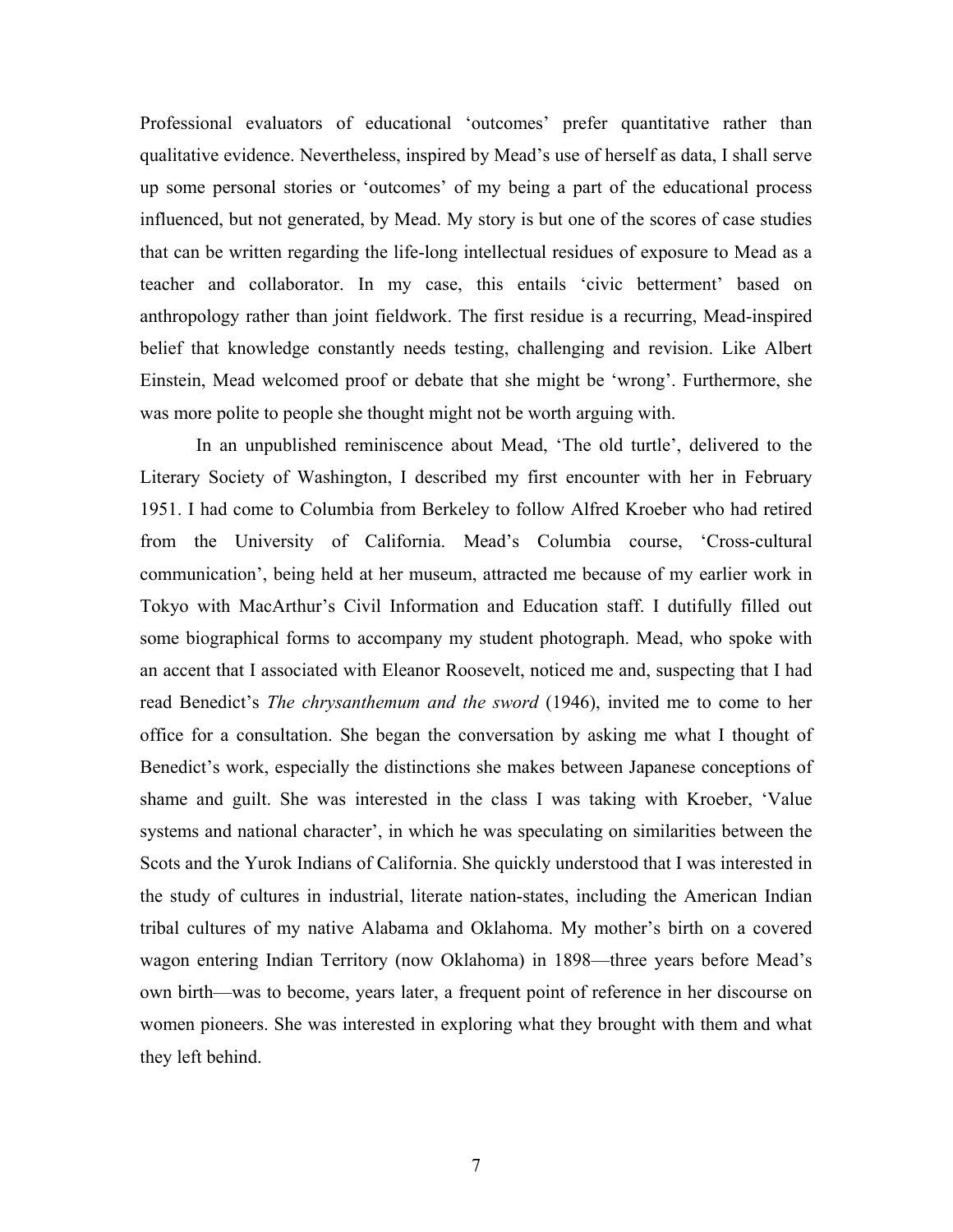Professional evaluators of educational 'outcomes' prefer quantitative rather than qualitative evidence. Nevertheless, inspired by Mead's use of herself as data, I shall serve up some personal stories or 'outcomes' of my being a part of the educational process influenced, but not generated, by Mead. My story is but one of the scores of case studies that can be written regarding the life-long intellectual residues of exposure to Mead as a teacher and collaborator. In my case, this entails 'civic betterment' based on anthropology rather than joint fieldwork. The first residue is a recurring, Mead-inspired belief that knowledge constantly needs testing, challenging and revision. Like Albert Einstein, Mead welcomed proof or debate that she might be 'wrong'. Furthermore, she was more polite to people she thought might not be worth arguing with.

In an unpublished reminiscence about Mead, 'The old turtle', delivered to the Literary Society of Washington, I described my first encounter with her in February 1951. I had come to Columbia from Berkeley to follow Alfred Kroeber who had retired from the University of California. Mead's Columbia course, 'Cross-cultural communication', being held at her museum, attracted me because of my earlier work in Tokyo with MacArthur's Civil Information and Education staff. I dutifully filled out some biographical forms to accompany my student photograph. Mead, who spoke with an accent that I associated with Eleanor Roosevelt, noticed me and, suspecting that I had read Benedict's *The chrysanthemum and the sword* (1946), invited me to come to her office for a consultation. She began the conversation by asking me what I thought of Benedict's work, especially the distinctions she makes between Japanese conceptions of shame and guilt. She was interested in the class I was taking with Kroeber, 'Value systems and national character', in which he was speculating on similarities between the Scots and the Yurok Indians of California. She quickly understood that I was interested in the study of cultures in industrial, literate nation-states, including the American Indian tribal cultures of my native Alabama and Oklahoma. My mother's birth on a covered wagon entering Indian Territory (now Oklahoma) in 1898—three years before Mead's own birth—was to become, years later, a frequent point of reference in her discourse on women pioneers. She was interested in exploring what they brought with them and what they left behind.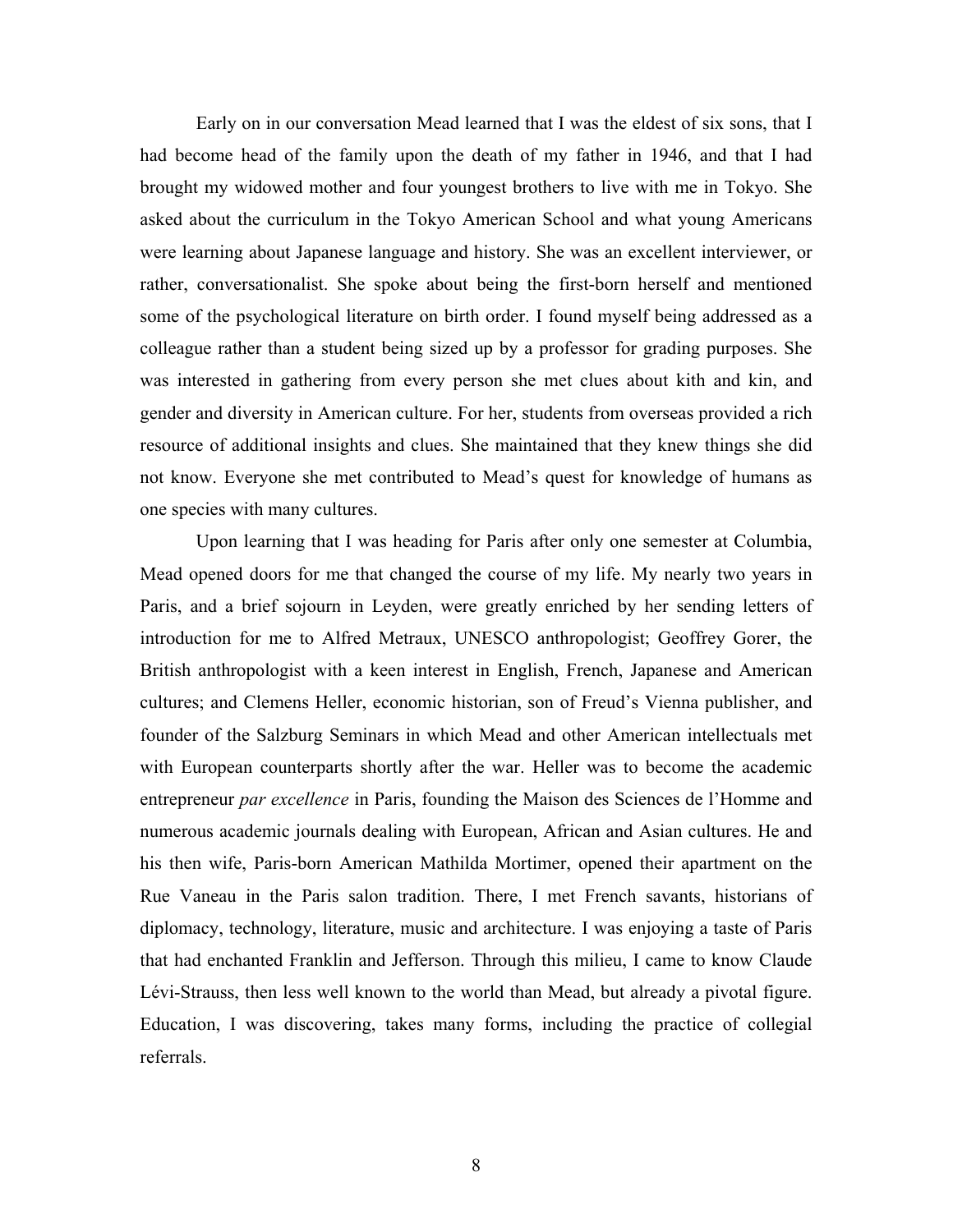Early on in our conversation Mead learned that I was the eldest of six sons, that I had become head of the family upon the death of my father in 1946, and that I had brought my widowed mother and four youngest brothers to live with me in Tokyo. She asked about the curriculum in the Tokyo American School and what young Americans were learning about Japanese language and history. She was an excellent interviewer, or rather, conversationalist. She spoke about being the first-born herself and mentioned some of the psychological literature on birth order. I found myself being addressed as a colleague rather than a student being sized up by a professor for grading purposes. She was interested in gathering from every person she met clues about kith and kin, and gender and diversity in American culture. For her, students from overseas provided a rich resource of additional insights and clues. She maintained that they knew things she did not know. Everyone she met contributed to Mead's quest for knowledge of humans as one species with many cultures.

Upon learning that I was heading for Paris after only one semester at Columbia, Mead opened doors for me that changed the course of my life. My nearly two years in Paris, and a brief sojourn in Leyden, were greatly enriched by her sending letters of introduction for me to Alfred Metraux, UNESCO anthropologist; Geoffrey Gorer, the British anthropologist with a keen interest in English, French, Japanese and American cultures; and Clemens Heller, economic historian, son of Freud's Vienna publisher, and founder of the Salzburg Seminars in which Mead and other American intellectuals met with European counterparts shortly after the war. Heller was to become the academic entrepreneur *par excellence* in Paris, founding the Maison des Sciences de l'Homme and numerous academic journals dealing with European, African and Asian cultures. He and his then wife, Paris-born American Mathilda Mortimer, opened their apartment on the Rue Vaneau in the Paris salon tradition. There, I met French savants, historians of diplomacy, technology, literature, music and architecture. I was enjoying a taste of Paris that had enchanted Franklin and Jefferson. Through this milieu, I came to know Claude Lévi-Strauss, then less well known to the world than Mead, but already a pivotal figure. Education, I was discovering, takes many forms, including the practice of collegial referrals.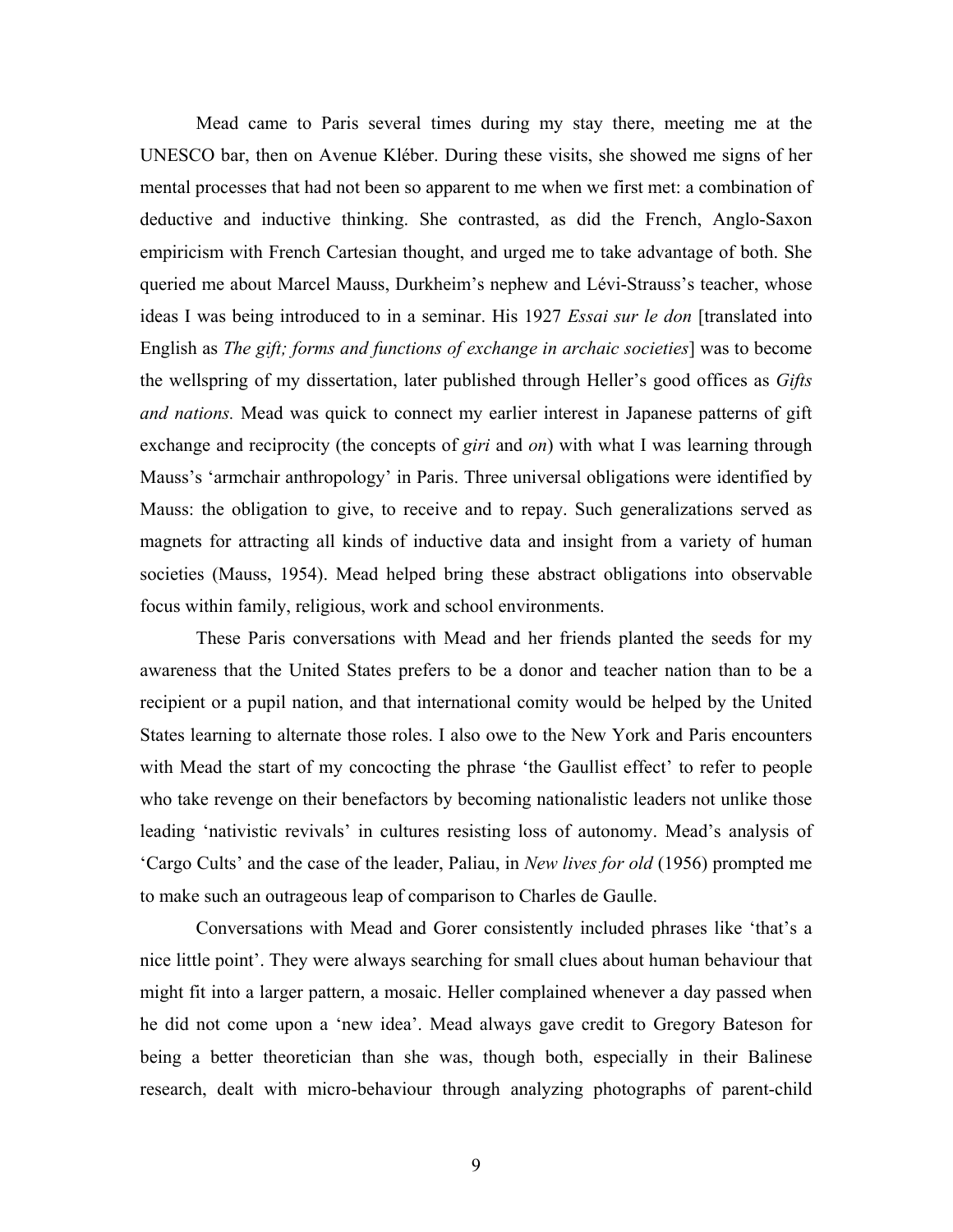Mead came to Paris several times during my stay there, meeting me at the UNESCO bar, then on Avenue Kléber. During these visits, she showed me signs of her mental processes that had not been so apparent to me when we first met: a combination of deductive and inductive thinking. She contrasted, as did the French, Anglo-Saxon empiricism with French Cartesian thought, and urged me to take advantage of both. She queried me about Marcel Mauss, Durkheim's nephew and Lévi-Strauss's teacher, whose ideas I was being introduced to in a seminar. His 1927 *Essai sur le don* [translated into English as *The gift; forms and functions of exchange in archaic societies*] was to become the wellspring of my dissertation, later published through Heller's good offices as *Gifts and nations.* Mead was quick to connect my earlier interest in Japanese patterns of gift exchange and reciprocity (the concepts of *giri* and *on*) with what I was learning through Mauss's 'armchair anthropology' in Paris. Three universal obligations were identified by Mauss: the obligation to give, to receive and to repay. Such generalizations served as magnets for attracting all kinds of inductive data and insight from a variety of human societies (Mauss, 1954). Mead helped bring these abstract obligations into observable focus within family, religious, work and school environments.

These Paris conversations with Mead and her friends planted the seeds for my awareness that the United States prefers to be a donor and teacher nation than to be a recipient or a pupil nation, and that international comity would be helped by the United States learning to alternate those roles. I also owe to the New York and Paris encounters with Mead the start of my concocting the phrase 'the Gaullist effect' to refer to people who take revenge on their benefactors by becoming nationalistic leaders not unlike those leading 'nativistic revivals' in cultures resisting loss of autonomy. Mead's analysis of 'Cargo Cults' and the case of the leader, Paliau, in *New lives for old* (1956) prompted me to make such an outrageous leap of comparison to Charles de Gaulle.

Conversations with Mead and Gorer consistently included phrases like 'that's a nice little point'. They were always searching for small clues about human behaviour that might fit into a larger pattern, a mosaic. Heller complained whenever a day passed when he did not come upon a 'new idea'. Mead always gave credit to Gregory Bateson for being a better theoretician than she was, though both, especially in their Balinese research, dealt with micro-behaviour through analyzing photographs of parent-child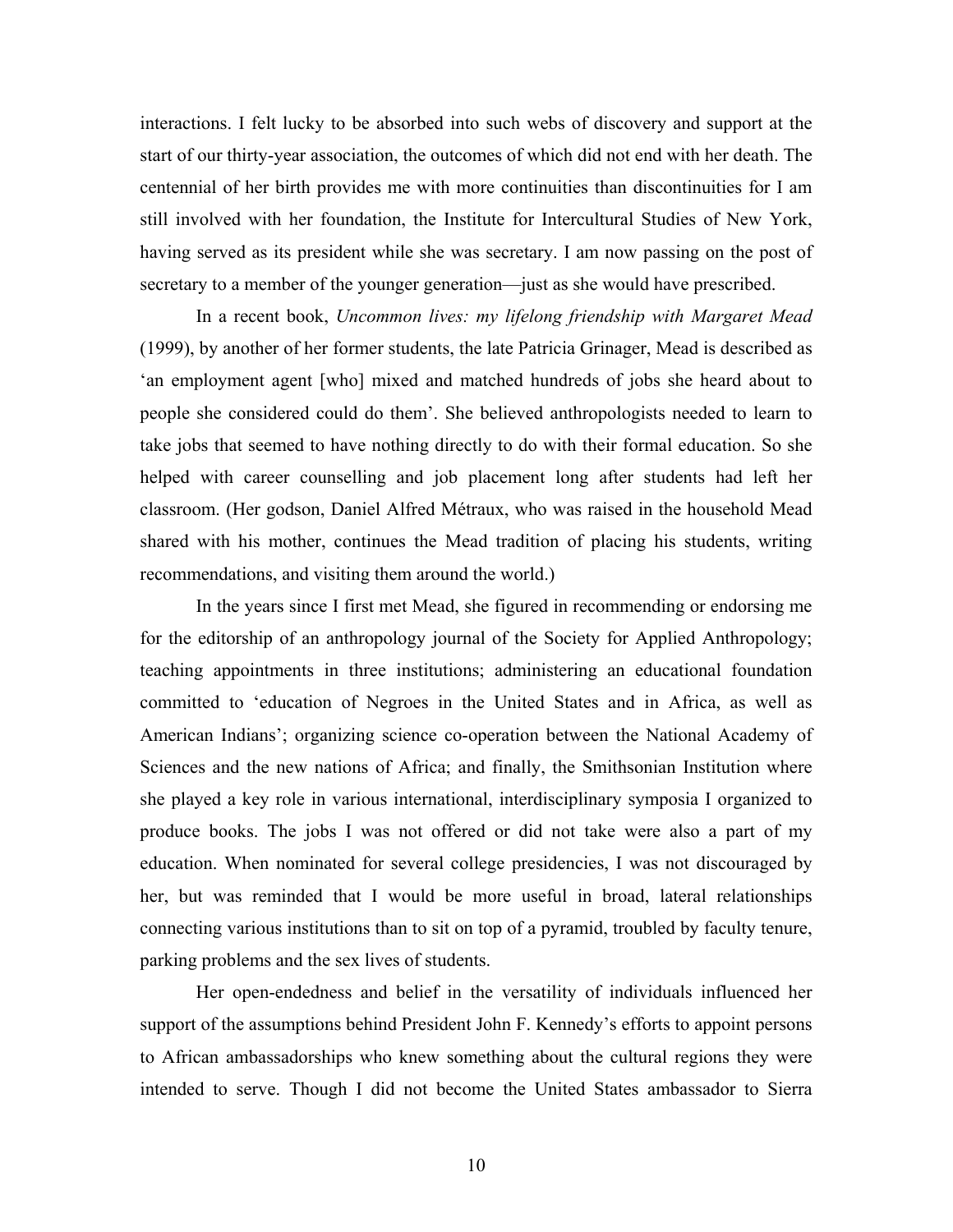interactions. I felt lucky to be absorbed into such webs of discovery and support at the start of our thirty-year association, the outcomes of which did not end with her death. The centennial of her birth provides me with more continuities than discontinuities for I am still involved with her foundation, the Institute for Intercultural Studies of New York, having served as its president while she was secretary. I am now passing on the post of secretary to a member of the younger generation—just as she would have prescribed.

In a recent book, *Uncommon lives: my lifelong friendship with Margaret Mead*  (1999), by another of her former students, the late Patricia Grinager, Mead is described as 'an employment agent [who] mixed and matched hundreds of jobs she heard about to people she considered could do them'. She believed anthropologists needed to learn to take jobs that seemed to have nothing directly to do with their formal education. So she helped with career counselling and job placement long after students had left her classroom. (Her godson, Daniel Alfred Métraux, who was raised in the household Mead shared with his mother, continues the Mead tradition of placing his students, writing recommendations, and visiting them around the world.)

In the years since I first met Mead, she figured in recommending or endorsing me for the editorship of an anthropology journal of the Society for Applied Anthropology; teaching appointments in three institutions; administering an educational foundation committed to 'education of Negroes in the United States and in Africa, as well as American Indians'; organizing science co-operation between the National Academy of Sciences and the new nations of Africa; and finally, the Smithsonian Institution where she played a key role in various international, interdisciplinary symposia I organized to produce books. The jobs I was not offered or did not take were also a part of my education. When nominated for several college presidencies, I was not discouraged by her, but was reminded that I would be more useful in broad, lateral relationships connecting various institutions than to sit on top of a pyramid, troubled by faculty tenure, parking problems and the sex lives of students.

Her open-endedness and belief in the versatility of individuals influenced her support of the assumptions behind President John F. Kennedy's efforts to appoint persons to African ambassadorships who knew something about the cultural regions they were intended to serve. Though I did not become the United States ambassador to Sierra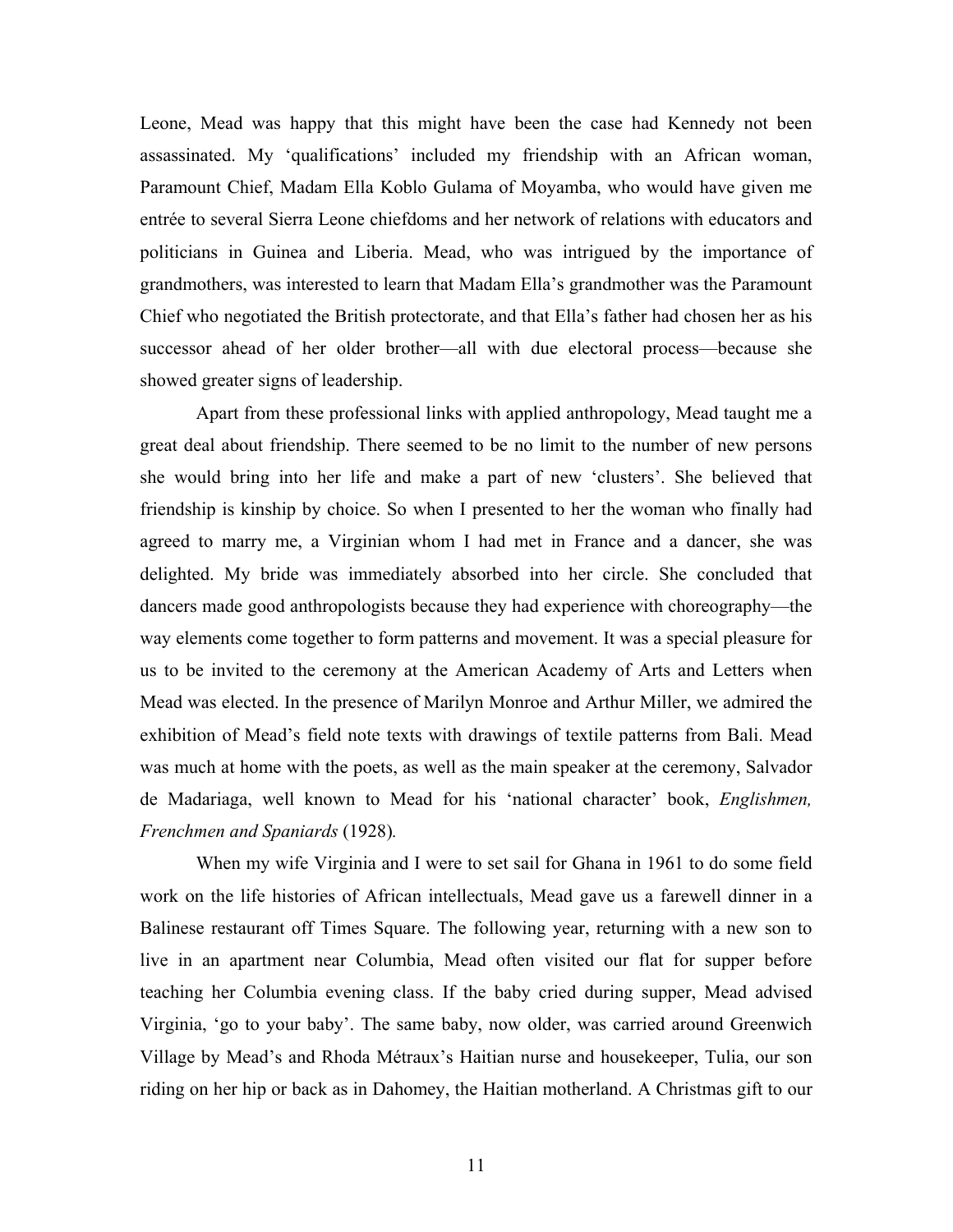Leone, Mead was happy that this might have been the case had Kennedy not been assassinated. My 'qualifications' included my friendship with an African woman, Paramount Chief, Madam Ella Koblo Gulama of Moyamba, who would have given me entrée to several Sierra Leone chiefdoms and her network of relations with educators and politicians in Guinea and Liberia. Mead, who was intrigued by the importance of grandmothers, was interested to learn that Madam Ella's grandmother was the Paramount Chief who negotiated the British protectorate, and that Ella's father had chosen her as his successor ahead of her older brother—all with due electoral process—because she showed greater signs of leadership.

Apart from these professional links with applied anthropology, Mead taught me a great deal about friendship. There seemed to be no limit to the number of new persons she would bring into her life and make a part of new 'clusters'. She believed that friendship is kinship by choice. So when I presented to her the woman who finally had agreed to marry me, a Virginian whom I had met in France and a dancer, she was delighted. My bride was immediately absorbed into her circle. She concluded that dancers made good anthropologists because they had experience with choreography—the way elements come together to form patterns and movement. It was a special pleasure for us to be invited to the ceremony at the American Academy of Arts and Letters when Mead was elected. In the presence of Marilyn Monroe and Arthur Miller, we admired the exhibition of Mead's field note texts with drawings of textile patterns from Bali. Mead was much at home with the poets, as well as the main speaker at the ceremony, Salvador de Madariaga, well known to Mead for his 'national character' book, *Englishmen, Frenchmen and Spaniards* (1928)*.*

When my wife Virginia and I were to set sail for Ghana in 1961 to do some field work on the life histories of African intellectuals, Mead gave us a farewell dinner in a Balinese restaurant off Times Square. The following year, returning with a new son to live in an apartment near Columbia, Mead often visited our flat for supper before teaching her Columbia evening class. If the baby cried during supper, Mead advised Virginia, 'go to your baby'. The same baby, now older, was carried around Greenwich Village by Mead's and Rhoda Métraux's Haitian nurse and housekeeper, Tulia, our son riding on her hip or back as in Dahomey, the Haitian motherland. A Christmas gift to our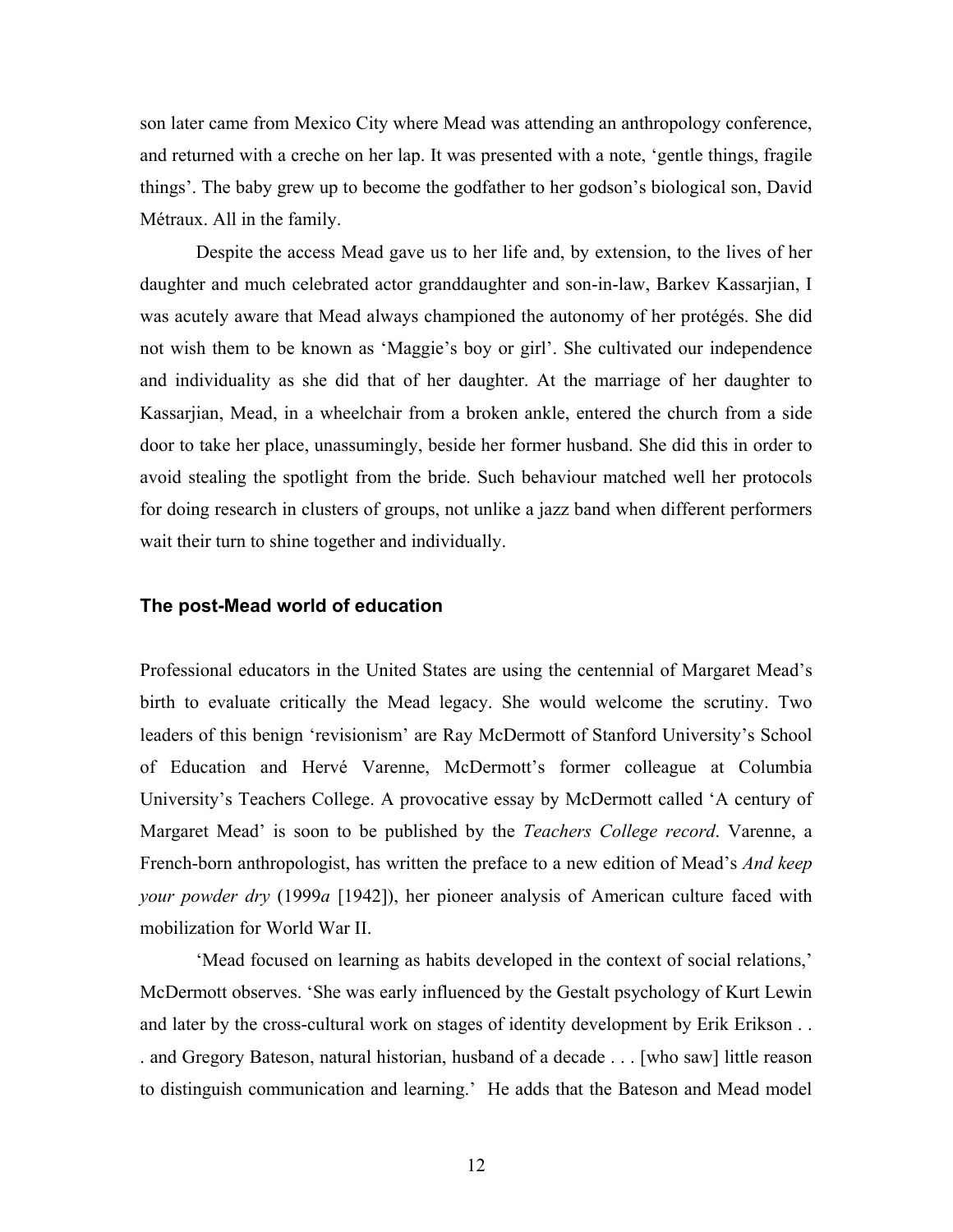son later came from Mexico City where Mead was attending an anthropology conference, and returned with a creche on her lap. It was presented with a note, 'gentle things, fragile things'. The baby grew up to become the godfather to her godson's biological son, David Métraux. All in the family.

Despite the access Mead gave us to her life and, by extension, to the lives of her daughter and much celebrated actor granddaughter and son-in-law, Barkev Kassarjian, I was acutely aware that Mead always championed the autonomy of her protégés. She did not wish them to be known as 'Maggie's boy or girl'. She cultivated our independence and individuality as she did that of her daughter. At the marriage of her daughter to Kassarjian, Mead, in a wheelchair from a broken ankle, entered the church from a side door to take her place, unassumingly, beside her former husband. She did this in order to avoid stealing the spotlight from the bride. Such behaviour matched well her protocols for doing research in clusters of groups, not unlike a jazz band when different performers wait their turn to shine together and individually.

### **The post-Mead world of education**

Professional educators in the United States are using the centennial of Margaret Mead's birth to evaluate critically the Mead legacy. She would welcome the scrutiny. Two leaders of this benign 'revisionism' are Ray McDermott of Stanford University's School of Education and Hervé Varenne, McDermott's former colleague at Columbia University's Teachers College. A provocative essay by McDermott called 'A century of Margaret Mead' is soon to be published by the *Teachers College record*. Varenne, a French-born anthropologist, has written the preface to a new edition of Mead's *And keep your powder dry* (1999*a* [1942]), her pioneer analysis of American culture faced with mobilization for World War II.

 'Mead focused on learning as habits developed in the context of social relations,' McDermott observes. 'She was early influenced by the Gestalt psychology of Kurt Lewin and later by the cross-cultural work on stages of identity development by Erik Erikson . . . and Gregory Bateson, natural historian, husband of a decade . . . [who saw] little reason to distinguish communication and learning.' He adds that the Bateson and Mead model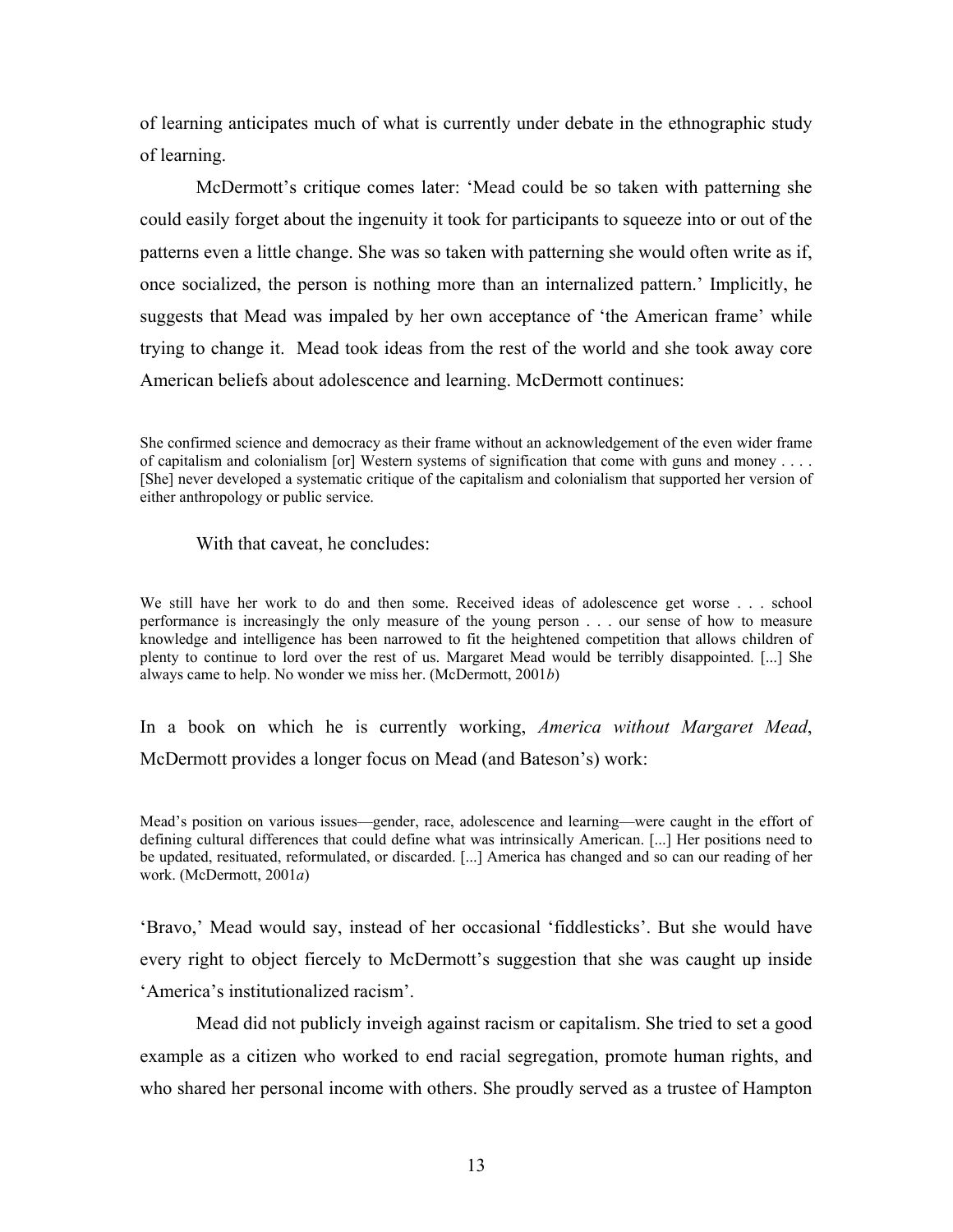of learning anticipates much of what is currently under debate in the ethnographic study of learning.

 McDermott's critique comes later: 'Mead could be so taken with patterning she could easily forget about the ingenuity it took for participants to squeeze into or out of the patterns even a little change. She was so taken with patterning she would often write as if, once socialized, the person is nothing more than an internalized pattern.' Implicitly, he suggests that Mead was impaled by her own acceptance of 'the American frame' while trying to change it. Mead took ideas from the rest of the world and she took away core American beliefs about adolescence and learning. McDermott continues:

With that caveat, he concludes:

We still have her work to do and then some. Received ideas of adolescence get worse . . . school performance is increasingly the only measure of the young person . . . our sense of how to measure knowledge and intelligence has been narrowed to fit the heightened competition that allows children of plenty to continue to lord over the rest of us. Margaret Mead would be terribly disappointed. [...] She always came to help. No wonder we miss her. (McDermott, 2001*b*)

In a book on which he is currently working, *America without Margaret Mead*, McDermott provides a longer focus on Mead (and Bateson's) work:

Mead's position on various issues—gender, race, adolescence and learning—were caught in the effort of defining cultural differences that could define what was intrinsically American. [...] Her positions need to be updated, resituated, reformulated, or discarded. [...] America has changed and so can our reading of her work. (McDermott, 2001*a*)

'Bravo,' Mead would say, instead of her occasional 'fiddlesticks'. But she would have every right to object fiercely to McDermott's suggestion that she was caught up inside 'America's institutionalized racism'.

Mead did not publicly inveigh against racism or capitalism. She tried to set a good example as a citizen who worked to end racial segregation, promote human rights, and who shared her personal income with others. She proudly served as a trustee of Hampton

She confirmed science and democracy as their frame without an acknowledgement of the even wider frame of capitalism and colonialism [or] Western systems of signification that come with guns and money . . . . [She] never developed a systematic critique of the capitalism and colonialism that supported her version of either anthropology or public service.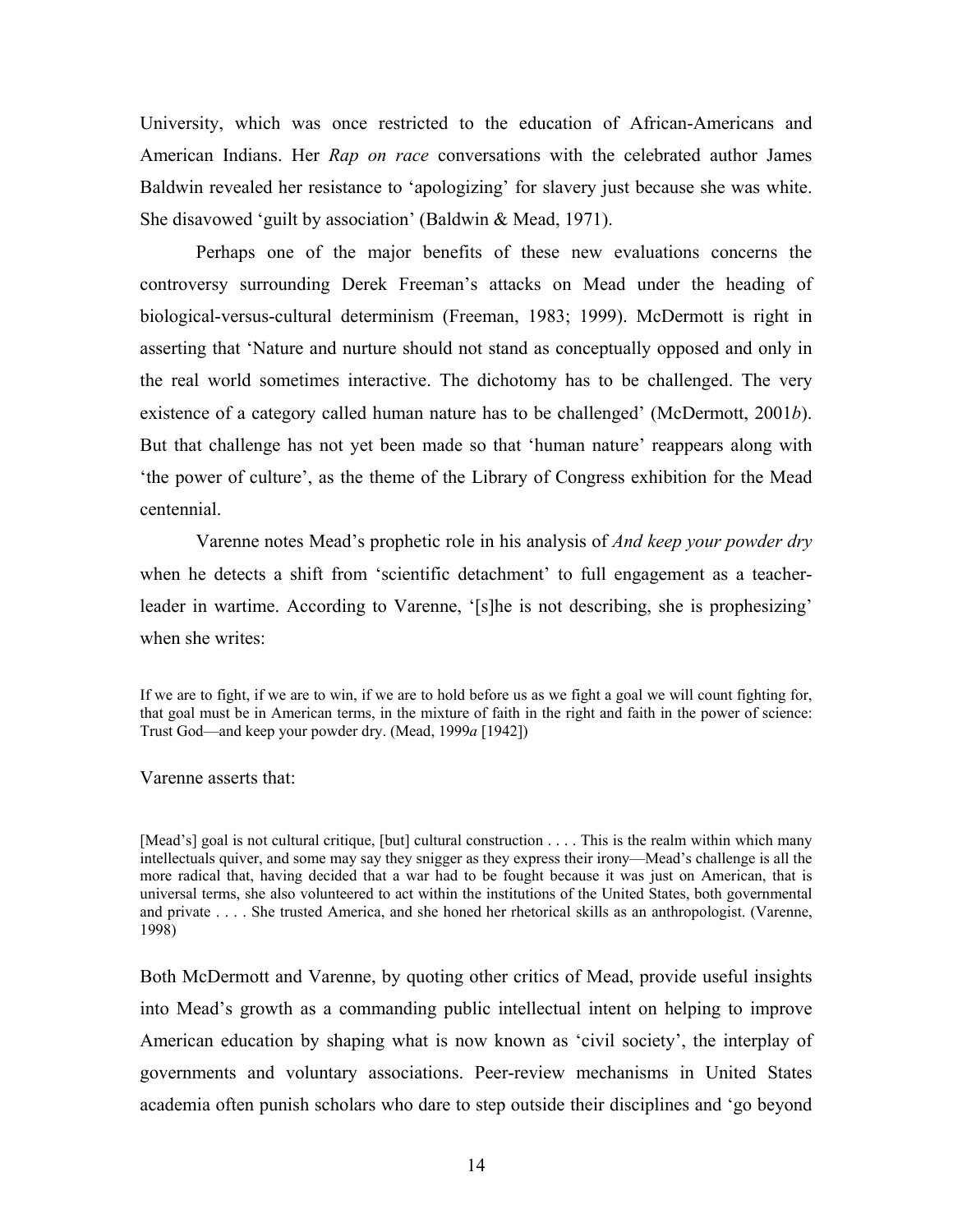University, which was once restricted to the education of African-Americans and American Indians. Her *Rap on race* conversations with the celebrated author James Baldwin revealed her resistance to 'apologizing' for slavery just because she was white. She disavowed 'guilt by association' (Baldwin & Mead, 1971).

Perhaps one of the major benefits of these new evaluations concerns the controversy surrounding Derek Freeman's attacks on Mead under the heading of biological-versus-cultural determinism (Freeman, 1983; 1999). McDermott is right in asserting that 'Nature and nurture should not stand as conceptually opposed and only in the real world sometimes interactive. The dichotomy has to be challenged. The very existence of a category called human nature has to be challenged' (McDermott, 2001*b*). But that challenge has not yet been made so that 'human nature' reappears along with 'the power of culture', as the theme of the Library of Congress exhibition for the Mead centennial.

Varenne notes Mead's prophetic role in his analysis of *And keep your powder dry*  when he detects a shift from 'scientific detachment' to full engagement as a teacherleader in wartime. According to Varenne, '[s]he is not describing, she is prophesizing' when she writes:

If we are to fight, if we are to win, if we are to hold before us as we fight a goal we will count fighting for, that goal must be in American terms, in the mixture of faith in the right and faith in the power of science: Trust God—and keep your powder dry. (Mead, 1999*a* [1942])

Varenne asserts that:

[Mead's] goal is not cultural critique, [but] cultural construction . . . . This is the realm within which many intellectuals quiver, and some may say they snigger as they express their irony—Mead's challenge is all the more radical that, having decided that a war had to be fought because it was just on American, that is universal terms, she also volunteered to act within the institutions of the United States, both governmental and private . . . . She trusted America, and she honed her rhetorical skills as an anthropologist. (Varenne, 1998)

Both McDermott and Varenne, by quoting other critics of Mead, provide useful insights into Mead's growth as a commanding public intellectual intent on helping to improve American education by shaping what is now known as 'civil society', the interplay of governments and voluntary associations. Peer-review mechanisms in United States academia often punish scholars who dare to step outside their disciplines and 'go beyond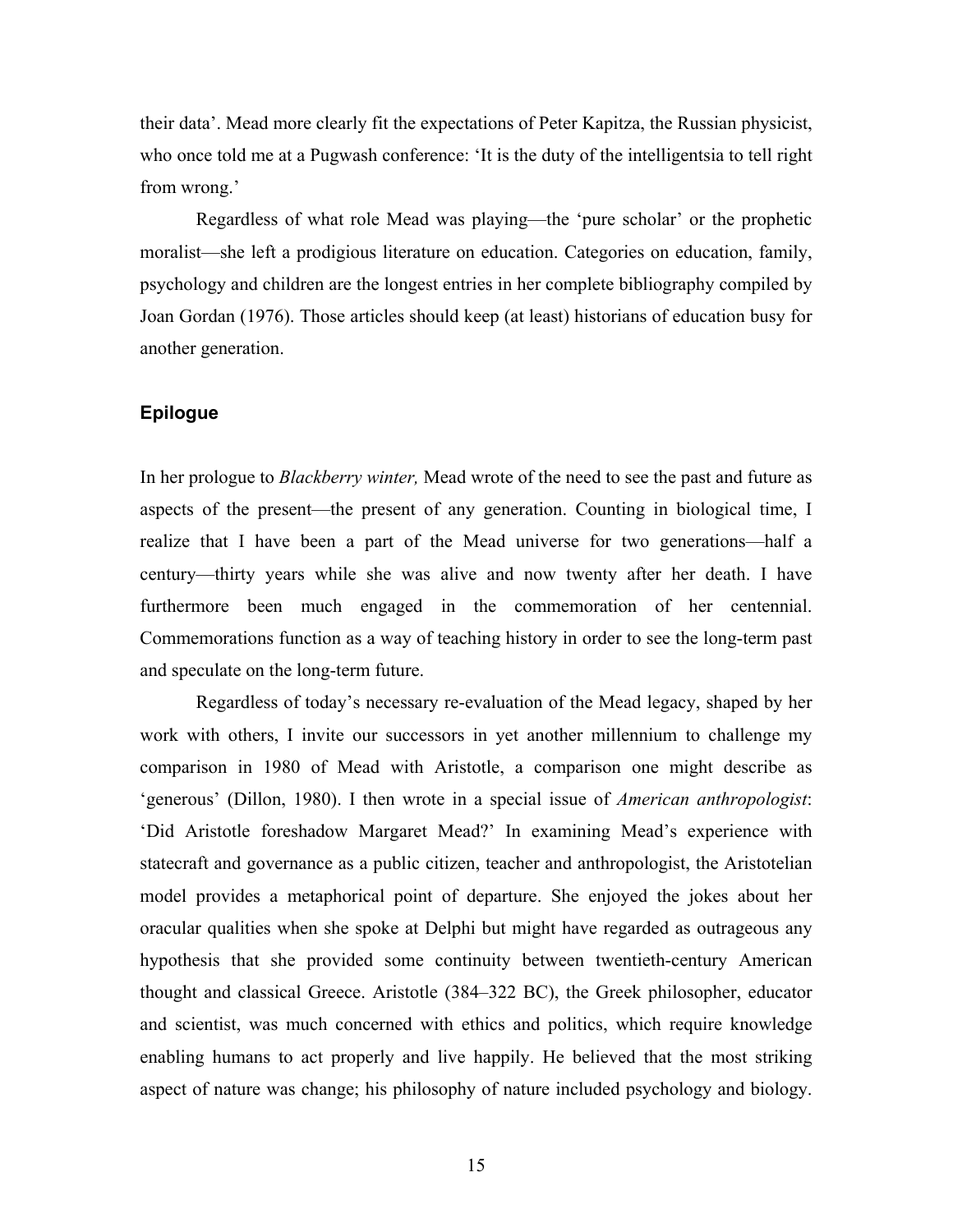their data'. Mead more clearly fit the expectations of Peter Kapitza, the Russian physicist, who once told me at a Pugwash conference: 'It is the duty of the intelligentsia to tell right from wrong.'

Regardless of what role Mead was playing—the 'pure scholar' or the prophetic moralist—she left a prodigious literature on education. Categories on education, family, psychology and children are the longest entries in her complete bibliography compiled by Joan Gordan (1976). Those articles should keep (at least) historians of education busy for another generation.

# **Epilogue**

In her prologue to *Blackberry winter,* Mead wrote of the need to see the past and future as aspects of the present—the present of any generation. Counting in biological time, I realize that I have been a part of the Mead universe for two generations—half a century—thirty years while she was alive and now twenty after her death. I have furthermore been much engaged in the commemoration of her centennial. Commemorations function as a way of teaching history in order to see the long-term past and speculate on the long-term future.

Regardless of today's necessary re-evaluation of the Mead legacy, shaped by her work with others, I invite our successors in yet another millennium to challenge my comparison in 1980 of Mead with Aristotle, a comparison one might describe as 'generous' (Dillon, 1980). I then wrote in a special issue of *American anthropologist*: 'Did Aristotle foreshadow Margaret Mead?' In examining Mead's experience with statecraft and governance as a public citizen, teacher and anthropologist, the Aristotelian model provides a metaphorical point of departure. She enjoyed the jokes about her oracular qualities when she spoke at Delphi but might have regarded as outrageous any hypothesis that she provided some continuity between twentieth-century American thought and classical Greece. Aristotle (384–322 BC), the Greek philosopher, educator and scientist, was much concerned with ethics and politics, which require knowledge enabling humans to act properly and live happily. He believed that the most striking aspect of nature was change; his philosophy of nature included psychology and biology.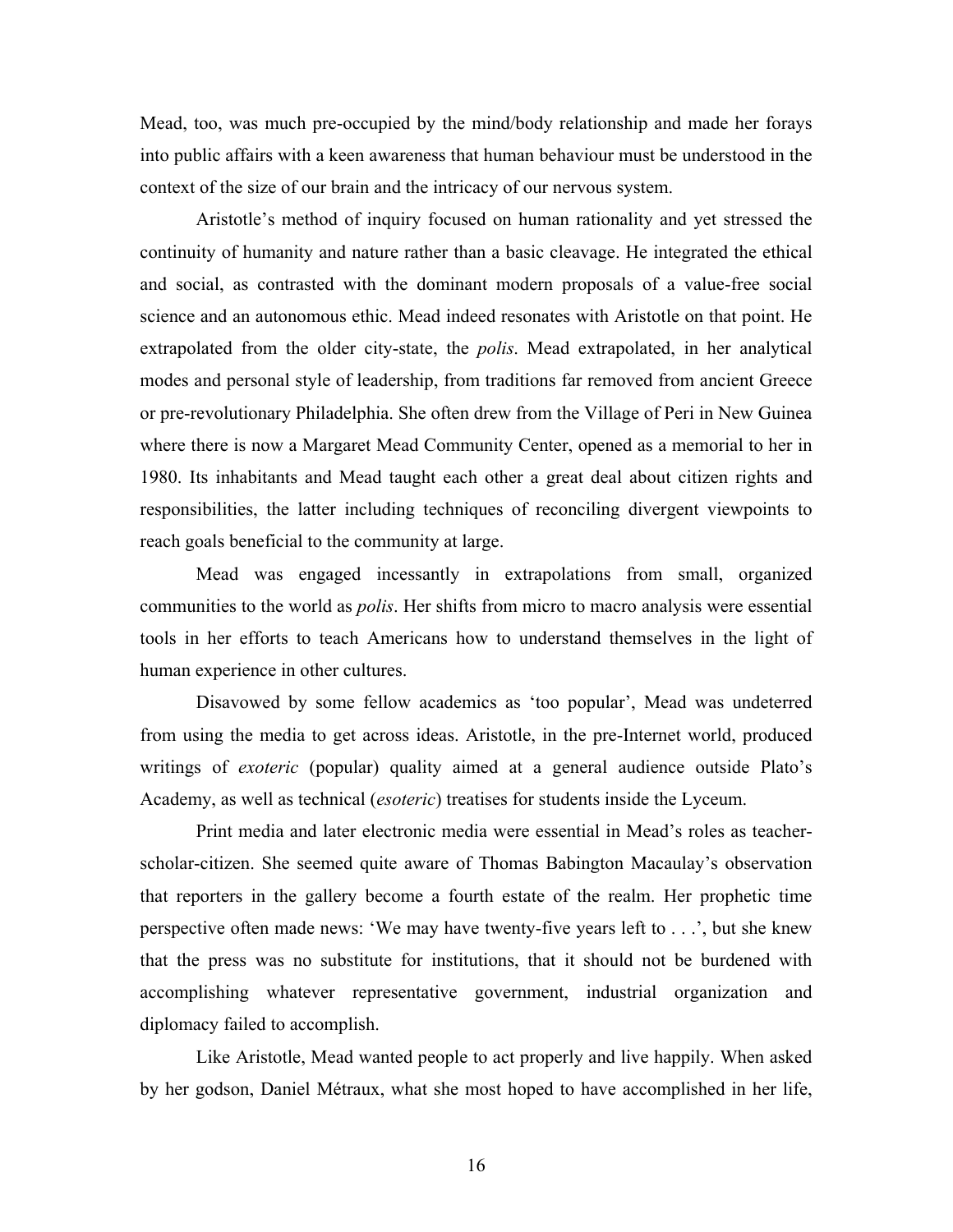Mead, too, was much pre-occupied by the mind/body relationship and made her forays into public affairs with a keen awareness that human behaviour must be understood in the context of the size of our brain and the intricacy of our nervous system.

Aristotle's method of inquiry focused on human rationality and yet stressed the continuity of humanity and nature rather than a basic cleavage. He integrated the ethical and social, as contrasted with the dominant modern proposals of a value-free social science and an autonomous ethic. Mead indeed resonates with Aristotle on that point. He extrapolated from the older city-state, the *polis*. Mead extrapolated, in her analytical modes and personal style of leadership, from traditions far removed from ancient Greece or pre-revolutionary Philadelphia. She often drew from the Village of Peri in New Guinea where there is now a Margaret Mead Community Center, opened as a memorial to her in 1980. Its inhabitants and Mead taught each other a great deal about citizen rights and responsibilities, the latter including techniques of reconciling divergent viewpoints to reach goals beneficial to the community at large.

Mead was engaged incessantly in extrapolations from small, organized communities to the world as *polis*. Her shifts from micro to macro analysis were essential tools in her efforts to teach Americans how to understand themselves in the light of human experience in other cultures.

Disavowed by some fellow academics as 'too popular', Mead was undeterred from using the media to get across ideas. Aristotle, in the pre-Internet world, produced writings of *exoteric* (popular) quality aimed at a general audience outside Plato's Academy, as well as technical (*esoteric*) treatises for students inside the Lyceum.

Print media and later electronic media were essential in Mead's roles as teacherscholar-citizen. She seemed quite aware of Thomas Babington Macaulay's observation that reporters in the gallery become a fourth estate of the realm. Her prophetic time perspective often made news: 'We may have twenty-five years left to . . .', but she knew that the press was no substitute for institutions, that it should not be burdened with accomplishing whatever representative government, industrial organization and diplomacy failed to accomplish.

Like Aristotle, Mead wanted people to act properly and live happily. When asked by her godson, Daniel Métraux, what she most hoped to have accomplished in her life,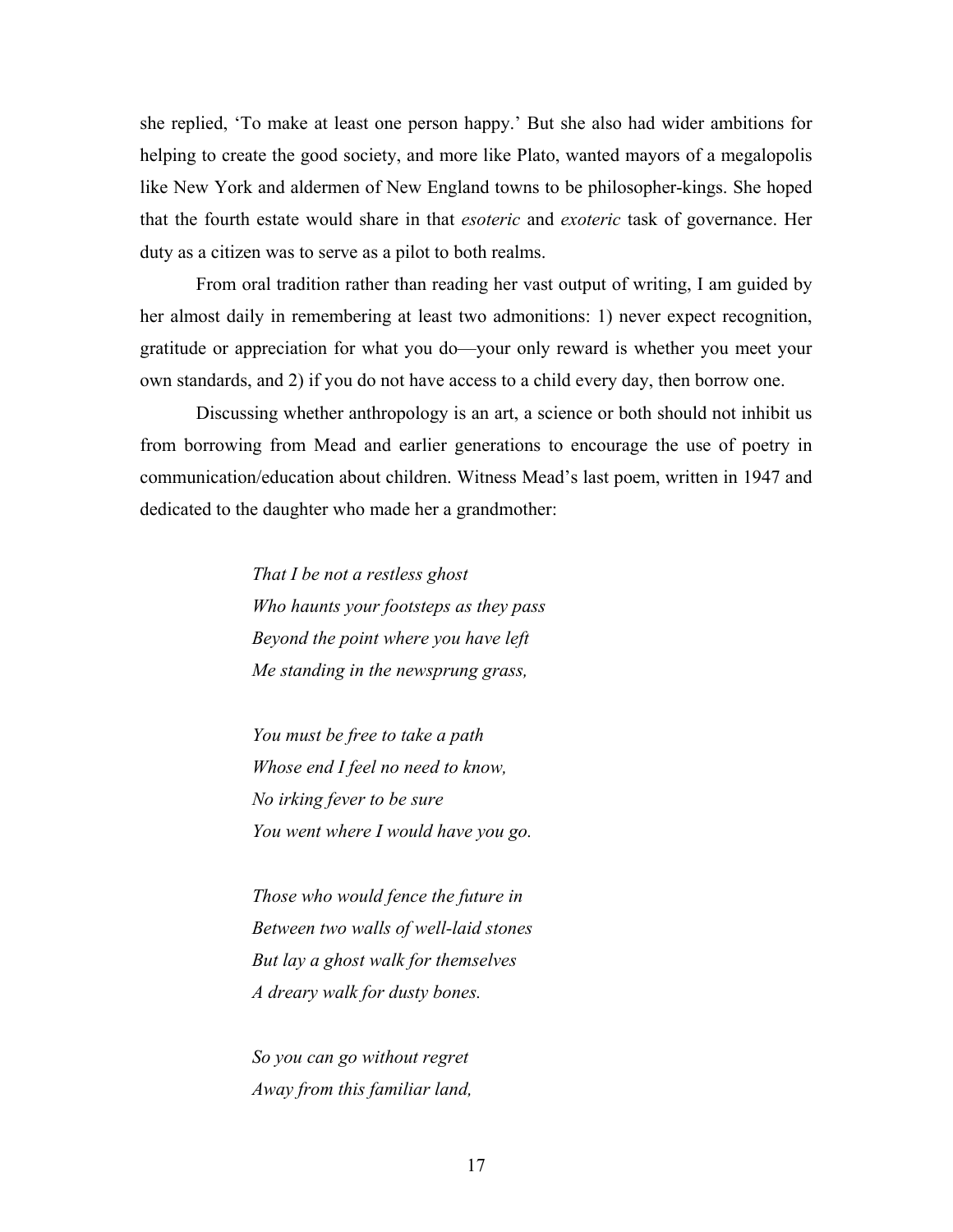she replied, 'To make at least one person happy.' But she also had wider ambitions for helping to create the good society, and more like Plato, wanted mayors of a megalopolis like New York and aldermen of New England towns to be philosopher-kings. She hoped that the fourth estate would share in that *esoteric* and *exoteric* task of governance. Her duty as a citizen was to serve as a pilot to both realms.

From oral tradition rather than reading her vast output of writing, I am guided by her almost daily in remembering at least two admonitions: 1) never expect recognition, gratitude or appreciation for what you do—your only reward is whether you meet your own standards, and 2) if you do not have access to a child every day, then borrow one.

Discussing whether anthropology is an art, a science or both should not inhibit us from borrowing from Mead and earlier generations to encourage the use of poetry in communication/education about children. Witness Mead's last poem, written in 1947 and dedicated to the daughter who made her a grandmother:

> *That I be not a restless ghost Who haunts your footsteps as they pass Beyond the point where you have left Me standing in the newsprung grass,*

 *You must be free to take a path Whose end I feel no need to know, No irking fever to be sure You went where I would have you go.* 

 *Those who would fence the future in Between two walls of well-laid stones But lay a ghost walk for themselves A dreary walk for dusty bones.* 

 *So you can go without regret Away from this familiar land,*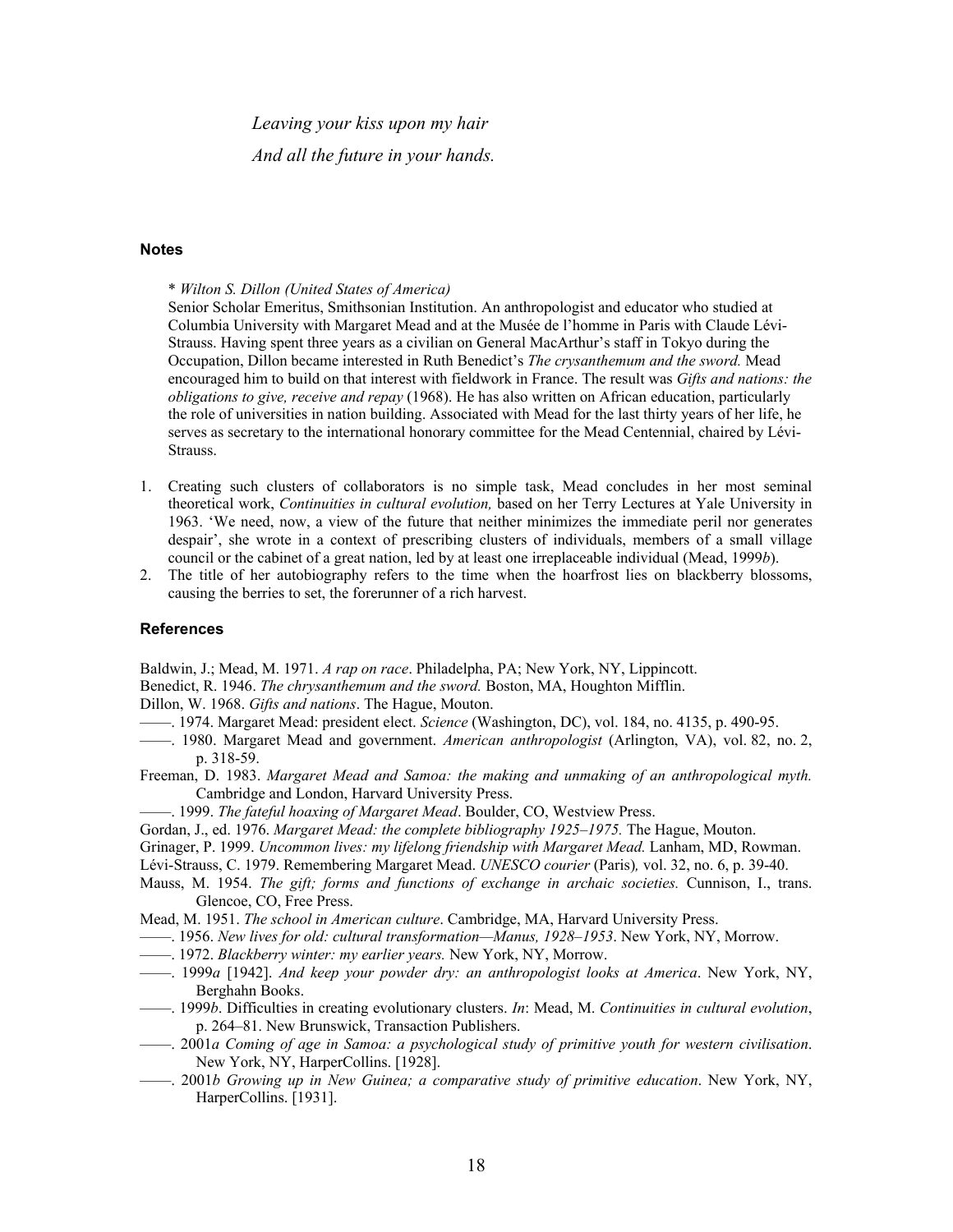*Leaving your kiss upon my hair And all the future in your hands.* 

#### **Notes**

\* *Wilton S. Dillon (United States of America)* 

Senior Scholar Emeritus, Smithsonian Institution. An anthropologist and educator who studied at Columbia University with Margaret Mead and at the Musée de l'homme in Paris with Claude Lévi-Strauss. Having spent three years as a civilian on General MacArthur's staff in Tokyo during the Occupation, Dillon became interested in Ruth Benedict's *The crysanthemum and the sword.* Mead encouraged him to build on that interest with fieldwork in France. The result was *Gifts and nations: the obligations to give, receive and repay* (1968). He has also written on African education, particularly the role of universities in nation building. Associated with Mead for the last thirty years of her life, he serves as secretary to the international honorary committee for the Mead Centennial, chaired by Lévi-Strauss.

- 1. Creating such clusters of collaborators is no simple task, Mead concludes in her most seminal theoretical work, *Continuities in cultural evolution,* based on her Terry Lectures at Yale University in 1963. 'We need, now, a view of the future that neither minimizes the immediate peril nor generates despair', she wrote in a context of prescribing clusters of individuals, members of a small village council or the cabinet of a great nation, led by at least one irreplaceable individual (Mead, 1999*b*).
- 2. The title of her autobiography refers to the time when the hoarfrost lies on blackberry blossoms, causing the berries to set, the forerunner of a rich harvest.

#### **References**

Baldwin, J.; Mead, M. 1971. *A rap on race*. Philadelpha, PA; New York, NY, Lippincott.

Benedict, R. 1946. *The chrysanthemum and the sword.* Boston, MA, Houghton Mifflin.

Dillon, W. 1968. *Gifts and nations*. The Hague, Mouton.

- ——. 1974. Margaret Mead: president elect. *Science* (Washington, DC), vol. 184, no. 4135, p. 490-95.
- ——. 1980. Margaret Mead and government. *American anthropologist* (Arlington, VA), vol. 82, no. 2, p. 318-59.
- Freeman, D. 1983. *Margaret Mead and Samoa: the making and unmaking of an anthropological myth.*  Cambridge and London, Harvard University Press.
- ——. 1999. *The fateful hoaxing of Margaret Mead*. Boulder, CO, Westview Press.
- Gordan, J., ed. 1976. *Margaret Mead: the complete bibliography 1925–1975.* The Hague, Mouton.
- Grinager, P. 1999. *Uncommon lives: my lifelong friendship with Margaret Mead.* Lanham, MD, Rowman.
- Lévi-Strauss, C. 1979. Remembering Margaret Mead. *UNESCO courier* (Paris)*,* vol. 32, no. 6, p. 39-40.
- Mauss, M. 1954. *The gift; forms and functions of exchange in archaic societies.* Cunnison, I., trans. Glencoe, CO, Free Press.

Mead, M. 1951. *The school in American culture*. Cambridge, MA, Harvard University Press.

- ——. 1956. *New lives for old: cultural transformation—Manus, 1928–1953*. New York, NY, Morrow.
- ——. 1972. *Blackberry winter: my earlier years.* New York, NY, Morrow.
- ——. 1999*a* [1942]. *And keep your powder dry: an anthropologist looks at America*. New York, NY, Berghahn Books.
- ——. 1999*b*. Difficulties in creating evolutionary clusters. *In*: Mead, M. *Continuities in cultural evolution*, p. 264–81. New Brunswick, Transaction Publishers.
- ——. 2001*a Coming of age in Samoa: a psychological study of primitive youth for western civilisation*. New York, NY, HarperCollins. [1928].
- ——. 2001*b Growing up in New Guinea; a comparative study of primitive education*. New York, NY, HarperCollins. [1931].